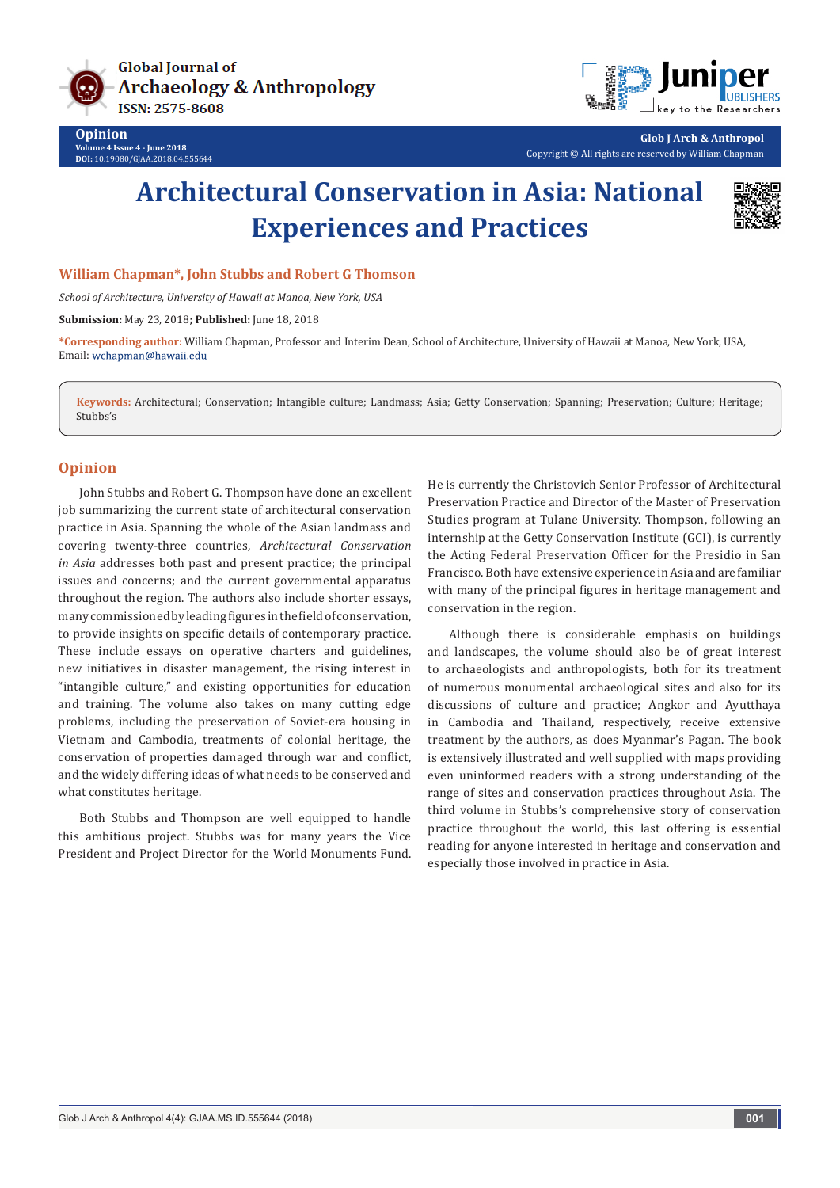



**Glob J Arch & Anthropol** Copyright © All rights are reserved by William Chapman

## **Architectural Conservation in Asia: National Experiences and Practices**



## **William Chapman\*, John Stubbs and Robert G Thomson**

*School of Architecture, University of Hawaii at Manoa, New York, USA*

**Submission:** May 23, 2018**; Published:** June 18, 2018

**\*Corresponding author:** William Chapman, Professor and Interim Dean, School of Architecture, University of Hawaii at Manoa, New York, USA, Email: wchapman@hawaii.edu

**Keywords:** Architectural; Conservation; Intangible culture; Landmass; Asia; Getty Conservation; Spanning; Preservation; Culture; Heritage; Stubbs's

## **Opinion**

John Stubbs and Robert G. Thompson have done an excellent job summarizing the current state of architectural conservation practice in Asia. Spanning the whole of the Asian landmass and covering twenty-three countries, *Architectural Conservation in Asia* addresses both past and present practice; the principal issues and concerns; and the current governmental apparatus throughout the region. The authors also include shorter essays, many commissioned by leading figures in the field of conservation, to provide insights on specific details of contemporary practice. These include essays on operative charters and guidelines, new initiatives in disaster management, the rising interest in "intangible culture," and existing opportunities for education and training. The volume also takes on many cutting edge problems, including the preservation of Soviet-era housing in Vietnam and Cambodia, treatments of colonial heritage, the conservation of properties damaged through war and conflict, and the widely differing ideas of what needs to be conserved and what constitutes heritage.

Both Stubbs and Thompson are well equipped to handle this ambitious project. Stubbs was for many years the Vice President and Project Director for the World Monuments Fund. He is currently the Christovich Senior Professor of Architectural Preservation Practice and Director of the Master of Preservation Studies program at Tulane University. Thompson, following an internship at the Getty Conservation Institute (GCI), is currently the Acting Federal Preservation Officer for the Presidio in San Francisco. Both have extensive experience in Asia and are familiar with many of the principal figures in heritage management and conservation in the region.

Although there is considerable emphasis on buildings and landscapes, the volume should also be of great interest to archaeologists and anthropologists, both for its treatment of numerous monumental archaeological sites and also for its discussions of culture and practice; Angkor and Ayutthaya in Cambodia and Thailand, respectively, receive extensive treatment by the authors, as does Myanmar's Pagan. The book is extensively illustrated and well supplied with maps providing even uninformed readers with a strong understanding of the range of sites and conservation practices throughout Asia. The third volume in Stubbs's comprehensive story of conservation practice throughout the world, this last offering is essential reading for anyone interested in heritage and conservation and especially those involved in practice in Asia.